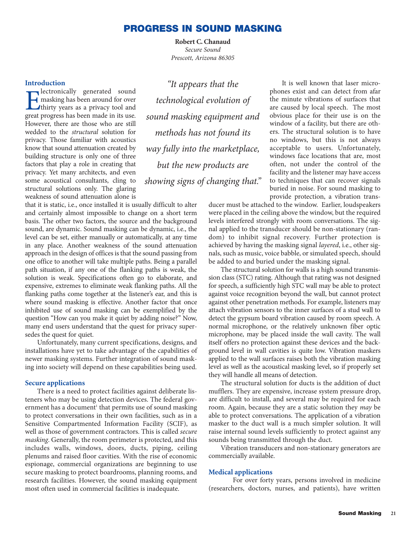# **PROGRESS IN SOUND MASKING**

**Robert C. Chanaud** *Secure Sound Prescott, Arizona 86305*

### **Introduction**

**EXECUTE ENTITLE EXECUTE:** The masking has been around for over<br>thirty years as a privacy tool and great progress has been made in its use. lectronically generated sound masking has been around for over thirty years as a privacy tool and However, there are those who are still wedded to the *structural* solution for privacy. Those familiar with acoustics know that sound attenuation created by building structure is only one of three factors that play a role in creating that privacy. Yet many architects, and even some acoustical consultants, cling to structural solutions only. The glaring weakness of sound attenuation alone is

*"It appears that the technological evolution of sound masking equipment and methods has not found its way fully into the marketplace, but the new products are showing signs of changing that."* 

that it is static, i.e., once installed it is usually difficult to alter and certainly almost impossible to change on a short term basis. The other two factors, the source and the background sound, are dynamic. Sound masking can be dynamic, i.e., the level can be set, either manually or automatically, at any time in any place. Another weakness of the sound attenuation approach in the design of offices is that the sound passing from one office to another will take multiple paths. Being a parallel path situation, if any one of the flanking paths is weak, the solution is weak. Specifications often go to elaborate, and expensive, extremes to eliminate weak flanking paths. All the flanking paths come together at the listener's ear, and this is where sound masking is effective. Another factor that once inhibited use of sound masking can be exemplified by the question "How can you make it quiet by adding noise?" Now, many end users understand that the quest for privacy supersedes the quest for quiet.

Unfortunately, many current specifications, designs, and installations have yet to take advantage of the capabilities of newer masking systems. Further integration of sound masking into society will depend on these capabilities being used.

#### **Secure applications**

There is a need to protect facilities against deliberate listeners who may be using detection devices. The federal government has a document<sup>1</sup> that permits use of sound masking to protect conversations in their own facilities, such as in a Sensitive Compartmented Information Facility (SCIF), as well as those of government contractors. This is called *secure masking*. Generally, the room perimeter is protected, and this includes walls, windows, doors, ducts, piping, ceiling plenums and raised floor cavities. With the rise of economic espionage, commercial organizations are beginning to use secure masking to protect boardrooms, planning rooms, and research facilities. However, the sound masking equipment most often used in commercial facilities is inadequate.

It is well known that laser microphones exist and can detect from afar the minute vibrations of surfaces that are caused by local speech. The most obvious place for their use is on the window of a facility, but there are others. The structural solution is to have no windows, but this is not always acceptable to users. Unfortunately, windows face locations that are, most often, not under the control of the facility and the listener may have access to techniques that can recover signals buried in noise. For sound masking to provide protection, a vibration trans-

ducer must be attached to the window. Earlier, loudspeakers were placed in the ceiling above the window, but the required levels interfered strongly with room conversations. The signal applied to the transducer should be non-stationary (random) to inhibit signal recovery. Further protection is achieved by having the masking signal *layered*, i.e., other signals, such as music, voice babble, or simulated speech, should be added to and buried under the masking signal.

The structural solution for walls is a high sound transmission class (STC) rating. Although that rating was not designed for speech, a sufficiently high STC wall may be able to protect against voice recognition beyond the wall, but cannot protect against other penetration methods. For example, listeners may attach vibration sensors to the inner surfaces of a stud wall to detect the gypsum board vibration caused by room speech. A normal microphone, or the relatively unknown fiber optic microphone, may be placed inside the wall cavity. The wall itself offers no protection against these devices and the background level in wall cavities is quite low. Vibration maskers applied to the wall surfaces raises both the vibration masking level as well as the acoustical masking level, so if properly set they will handle all means of detection.

The structural solution for ducts is the addition of duct mufflers. They are expensive, increase system pressure drop, are difficult to install, and several may be required for each room. Again, because they are a static solution they *may* be able to protect conversations. The application of a vibration masker to the duct wall is a much simpler solution. It will raise internal sound levels sufficiently to protect against any sounds being transmitted through the duct.

Vibration transducers and non-stationary generators are commercially available.

### **Medical applications**

For over forty years, persons involved in medicine (researchers, doctors, nurses, and patients), have written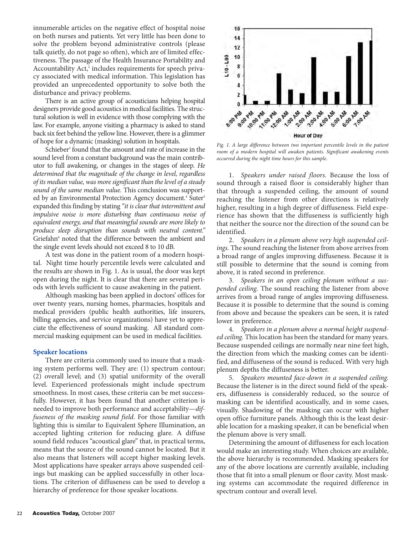innumerable articles on the negative effect of hospital noise on both nurses and patients. Yet very little has been done to solve the problem beyond administrative controls (please talk quietly, do not page so often), which are of limited effectiveness. The passage of the Health Insurance Portability and Accountability Act,<sup>2</sup> includes requirements for speech privacy associated with medical information. This legislation has provided an unprecedented opportunity to solve both the disturbance and privacy problems.

There is an active group of acousticians helping hospital designers provide good acoustics in medical facilities. The structural solution is well in evidence with those complying with the law. For example, anyone visiting a pharmacy is asked to stand back six feet behind the yellow line. However, there is a glimmer of hope for a dynamic (masking) solution in hospitals.

Schieber<sup>3</sup> found that the amount and rate of increase in the sound level from a constant background was the main contributor to full awakening, or changes in the stages of sleep. *He determined that the magnitude of the change in level, regardless of its median value, was more significant than the level of a steady sound of the same median value.* This conclusion was supported by an Environmental Protection Agency document.<sup>4</sup> Suter<sup>5</sup> expanded this finding by stating *"it is clear that intermittent and impulsive noise is more disturbing than continuous noise of equivalent energy, and that meaningful sounds are more likely to produce sleep disruption than sounds with neutral content."* Griefahn<sup>6</sup> noted that the difference between the ambient and the single event levels should not exceed 8 to 10 dB.

A test was done in the patient room of a modern hospital. Night time hourly percentile levels were calculated and the results are shown in Fig. 1. As is usual, the door was kept open during the night. It is clear that there are several periods with levels sufficient to cause awakening in the patient.

Although masking has been applied in doctors' offices for over twenty years, nursing homes, pharmacies, hospitals and medical providers (public health authorities, life insurers, billing agencies, and service organizations) have yet to appreciate the effectiveness of sound masking. All standard commercial masking equipment can be used in medical facilities.

# **Speaker locations**

There are criteria commonly used to insure that a masking system performs well. They are: (1) spectrum contour; (2) overall level; and (3) spatial uniformity of the overall level. Experienced professionals might include spectrum smoothness. In most cases, these criteria can be met successfully. However, it has been found that another criterion is needed to improve both performance and acceptability—*diffuseness of the masking sound field*. For those familiar with lighting this is similar to Equivalent Sphere Illumination, an accepted lighting criterion for reducing glare. A diffuse sound field reduces "acoustical glare" that, in practical terms, means that the source of the sound cannot be located. But it also means that listeners will accept higher masking levels. Most applications have speaker arrays above suspended ceilings but masking can be applied successfully in other locations. The criterion of diffuseness can be used to develop a hierarchy of preference for those speaker locations.



*Fig. 1. A large difference between two important percentile levels in the patient room of a modern hospital will awaken patients. Significant awakening events occurred during the night time hours for this sample.* 

1. *Speakers under raised floors.* Because the loss of sound through a raised floor is considerably higher than that through a suspended ceiling, the amount of sound reaching the listener from other directions is relatively higher, resulting in a high degree of diffuseness. Field experience has shown that the diffuseness is sufficiently high that neither the source nor the direction of the sound can be identified.

2. *Speakers in a plenum above very high suspended ceilings.* The sound reaching the listener from above arrives from a broad range of angles improving diffuseness. Because it is still possible to determine that the sound is coming from above, it is rated second in preference.

3. *Speakers in an open ceiling plenum without a suspended ceiling.* The sound reaching the listener from above arrives from a broad range of angles improving diffuseness. Because it is possible to determine that the sound is coming from above and because the speakers can be seen, it is rated lower in preference.

4. *Speakers in a plenum above a normal height suspended ceiling.* This location has been the standard for many years. Because suspended ceilings are normally near nine feet high, the direction from which the masking comes can be identified, and diffuseness of the sound is reduced. With very high plenum depths the diffuseness is better.

5. *Speakers mounted face-down in a suspended ceiling.* Because the listener is in the direct sound field of the speakers, diffuseness is considerably reduced, so the source of masking can be identified acoustically, and in some cases, visually. Shadowing of the masking can occur with higher open office furniture panels. Although this is the least desirable location for a masking speaker, it can be beneficial when the plenum above is very small.

Determining the amount of diffuseness for each location would make an interesting study. When choices are available, the above hierarchy is recommended. Masking speakers for any of the above locations are currently available, including those that fit into a small plenum or floor cavity. Most masking systems can accommodate the required difference in spectrum contour and overall level.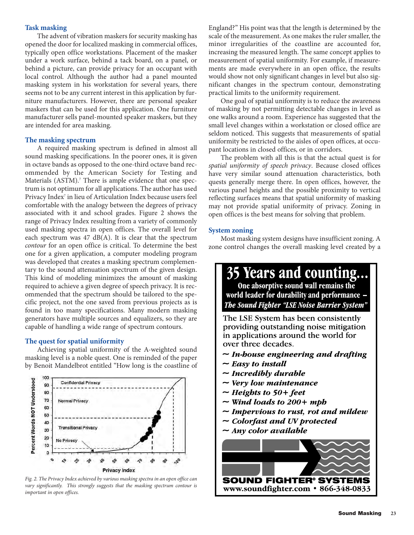### **Task masking**

The advent of vibration maskers for security masking has opened the door for localized masking in commercial offices, typically open office workstations. Placement of the masker under a work surface, behind a tack board, on a panel, or behind a picture, can provide privacy for an occupant with local control. Although the author had a panel mounted masking system in his workstation for several years, there seems not to be any current interest in this application by furniture manufacturers. However, there are personal speaker maskers that can be used for this application. One furniture manufacturer sells panel-mounted speaker maskers, but they are intended for area masking.

### **The masking spectrum**

A required masking spectrum is defined in almost all sound masking specifications. In the poorer ones, it is given in octave bands as opposed to the one-third octave band recommended by the American Society for Testing and Materials (ASTM).<sup>7</sup> There is ample evidence that one spectrum is not optimum for all applications. The author has used Privacy Index<sup>7</sup> in lieu of Articulation Index because users feel comfortable with the analogy between the degrees of privacy associated with it and school grades. Figure 2 shows the range of Privacy Index resulting from a variety of commonly used masking spectra in open offices. The overall level for each spectrum was 47 dB(A). It is clear that the spectrum *contour* for an open office is critical. To determine the best one for a given application, a computer modeling program was developed that creates a masking spectrum complementary to the sound attenuation spectrum of the given design. This kind of modeling minimizes the amount of masking required to achieve a given degree of speech privacy. It is recommended that the spectrum should be tailored to the specific project, not the one saved from previous projects as is found in too many specifications. Many modern masking generators have multiple sources and equalizers, so they are capable of handling a wide range of spectrum contours.

## **The quest for spatial uniformity**

Achieving spatial uniformity of the A-weighted sound masking level is a noble quest. One is reminded of the paper by Benoit Mandelbrot entitled "How long is the coastline of



*Fig. 2. The Privacy Index achieved by various masking spectra in an open office can vary significantly. This strongly suggests that the masking spectrum contour is important in open offices.*

England?" His point was that the length is determined by the scale of the measurement. As one makes the ruler smaller, the minor irregularities of the coastline are accounted for, increasing the measured length. The same concept applies to measurement of spatial uniformity. For example, if measurements are made everywhere in an open office, the results would show not only significant changes in level but also significant changes in the spectrum contour, demonstrating practical limits to the uniformity requirement.

One goal of spatial uniformity is to reduce the awareness of masking by not permitting detectable changes in level as one walks around a room. Experience has suggested that the small level changes within a workstation or closed office are seldom noticed. This suggests that measurements of spatial uniformity be restricted to the aisles of open offices, at occupant locations in closed offices, or in corridors.

The problem with all this is that the actual quest is for *spatial uniformity of speech privacy*. Because closed offices have very similar sound attenuation characteristics, both quests generally merge there. In open offices, however, the various panel heights and the possible proximity to vertical reflecting surfaces means that spatial uniformity of masking may not provide spatial uniformity of privacy. Zoning in open offices is the best means for solving that problem.

### **System zoning**

Most masking system designs have insufficient zoning. A zone control changes the overall masking level created by a

# 35 Years and counting...

One absorptive sound wall remains the world leader for durability and performance -**The Sound Fighter "LSE Noise Barrier System"** 

The LSE System has been consistently providing outstanding noise mitigation in applications around the world for over three decades.

- $\sim$  In-bouse engineering and drafting
- $\sim$  Easy to install
- $\sim$  Incredibly durable
- $\sim$  Very low maintenance
- ~ Heights to  $50 + feet$
- $\sim$  Wind loads to 200+ mpb
- $\sim$  Impervious to rust, rot and mildew
- $\sim$  Colorfast and UV protected
- $\sim$  Any color available

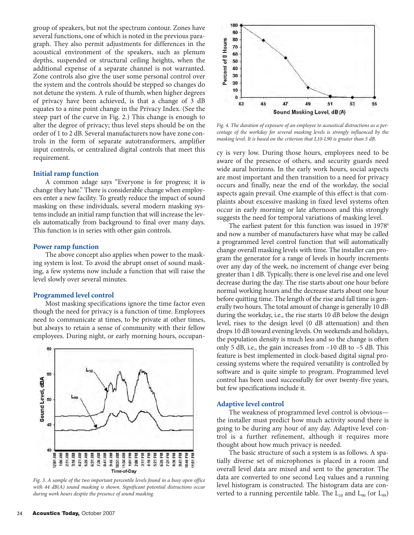group of speakers, but not the spectrum contour. Zones have several functions, one of which is noted in the previous paragraph. They also permit adjustments for differences in the acoustical environment of the speakers, such as plenum depths, suspended or structural ceiling heights, when the additional expense of a separate channel is not warranted. Zone controls also give the user some personal control over the system and the controls should be stepped so changes do not detune the system. A rule of thumb, when higher degrees of privacy have been achieved, is that a change of 3 dB equates to a nine point change in the Privacy Index. (See the steep part of the curve in Fig. 2.) This change is enough to alter the degree of privacy; thus level steps should be on the order of 1 to 2 dB. Several manufacturers now have zone controls in the form of separate autotransformers, amplifier input controls, or centralized digital controls that meet this requirement.

### **Initial ramp function**

A common adage says "Everyone is for progress; it is change they hate." There is considerable change when employees enter a new facility. To greatly reduce the impact of sound masking on these individuals, several modern masking systems include an initial ramp function that will increase the levels automatically from background to final over many days. This function is in series with other gain controls.

### **Power ramp function**

The above concept also applies when power to the masking system is lost. To avoid the abrupt onset of sound masking, a few systems now include a function that will raise the level slowly over several minutes.

### **Programmed level control**

Most masking specifications ignore the time factor even though the need for privacy is a function of time. Employees need to communicate at times, to be private at other times, but always to retain a sense of community with their fellow employees. During night, or early morning hours, occupan-



*Fig. 3. A sample of the two important percentile levels found in a busy open office with 44 dB(A) sound masking is shown. Significant potential distractions occur during work hours despite the presence of sound masking.*



*Fig. 4. The duration of exposure of an employee to acoustical distractions as a percentage of the workday for several masking levels is strongly influenced by the masking level. It is based on the criterion that L10-L90 is greater than 5 dB.*

cy is very low. During those hours, employees need to be aware of the presence of others, and security guards need wide aural horizons. In the early work hours, social aspects are most important and then transition to a need for privacy occurs and finally, near the end of the workday, the social aspects again prevail. One example of this effect is that complaints about excessive masking in fixed level systems often occur in early morning or late afternoon and this strongly suggests the need for temporal variations of masking level.

The earliest patent for this function was issued in  $1978<sup>s</sup>$ and now a number of manufacturers have what may be called a programmed level control function that will automatically change overall masking levels with time. The installer can program the generator for a range of levels in hourly increments over any day of the week, no increment of change ever being greater than 1 dB. Typically, there is one level rise and one level decrease during the day. The rise starts about one hour before normal working hours and the decrease starts about one hour before quitting time. The length of the rise and fall time is generally two hours. The total amount of change is generally 10 dB during the workday, i.e., the rise starts 10 dB below the design level, rises to the design level (0 dB attenuation) and then drops 10 dB toward evening levels. On weekends and holidays, the population density is much less and so the change is often only 5 dB, i.e., the gain increases from  $-10$  dB to  $-5$  dB. This feature is best implemented in clock-based digital signal processing systems where the required versatility is controlled by software and is quite simple to program. Programmed level control has been used successfully for over twenty-five years, but few specifications include it.

### **Adaptive level control**

The weakness of programmed level control is obvious the installer must predict how much activity sound there is going to be during any hour of any day. Adaptive level control is a further refinement, although it requires more thought about how much privacy is needed.

The basic structure of such a system is as follows. A spatially diverse set of microphones is placed in a room and overall level data are mixed and sent to the generator. The data are converted to one second Leq values and a running level histogram is constructed. The histogram data are converted to a running percentile table. The  $L_{10}$  and  $L_{90}$  (or  $L_{99}$ )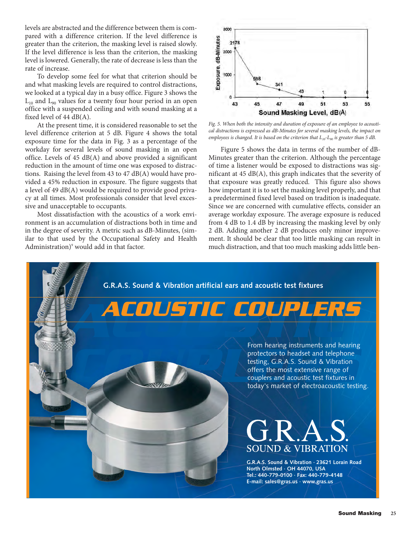levels are abstracted and the difference between them is compared with a difference criterion. If the level difference is greater than the criterion, the masking level is raised slowly. If the level difference is less than the criterion, the masking level is lowered. Generally, the rate of decrease is less than the rate of increase.

To develop some feel for what that criterion should be and what masking levels are required to control distractions, we looked at a typical day in a busy office. Figure 3 shows the  $L_{10}$  and  $L_{90}$  values for a twenty four hour period in an open office with a suspended ceiling and with sound masking at a fixed level of 44 dB(A).

At the present time, it is considered reasonable to set the level difference criterion at 5 dB. Figure 4 shows the total exposure time for the data in Fig. 3 as a percentage of the workday for several levels of sound masking in an open office. Levels of 45 dB(A) and above provided a significant reduction in the amount of time one was exposed to distractions. Raising the level from 43 to 47 dB(A) would have provided a 45% reduction in exposure. The figure suggests that a level of 49 dB(A) would be required to provide good privacy at all times. Most professionals consider that level excessive and unacceptable to occupants.

Most dissatisfaction with the acoustics of a work environment is an accumulation of distractions both in time and in the degree of severity. A metric such as dB-Minutes, (similar to that used by the Occupational Safety and Health Administration)<sup>9</sup> would add in that factor.



*Fig. 5. When both the intensity and duration of exposure of an employee to acoustical distractions is expressed as dB-Minutes for several masking levels, the impact on employees is changed. It is based on the criterion that*  $L_{10}$ - $L_{90}$  *is greater than* 5 *dB*.

Figure 5 shows the data in terms of the number of dB-Minutes greater than the criterion. Although the percentage of time a listener would be exposed to distractions was significant at 45 dB(A), this graph indicates that the severity of that exposure was greatly reduced. This figure also shows how important it is to set the masking level properly, and that a predetermined fixed level based on tradition is inadequate. Since we are concerned with cumulative effects, consider an average workday exposure. The average exposure is reduced from 4 dB to 1.4 dB by increasing the masking level by only 2 dB. Adding another 2 dB produces only minor improvement. It should be clear that too little masking can result in much distraction, and that too much masking adds little ben-